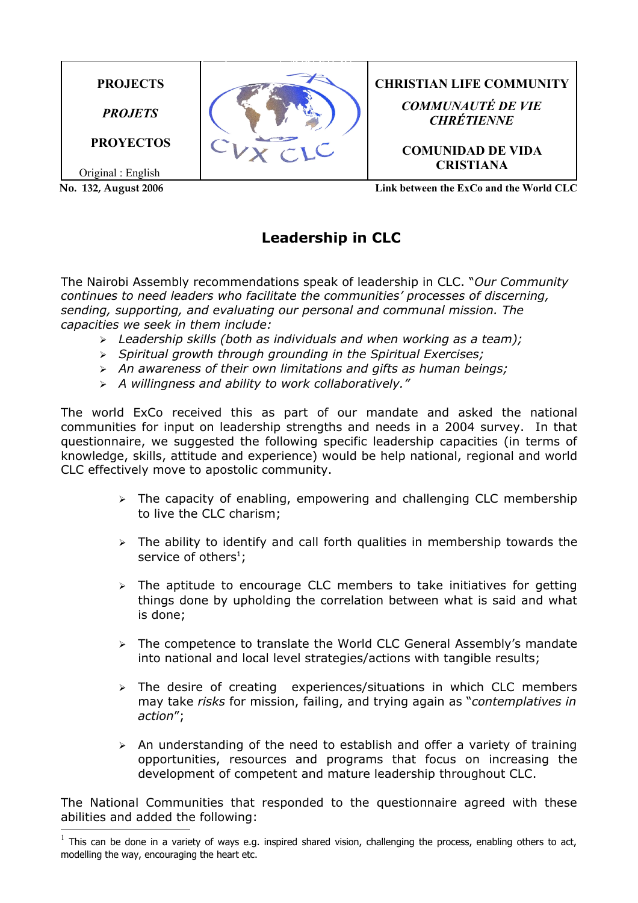

## **Leadership in CLC**

The Nairobi Assembly recommendations speak of leadership in CLC. "*Our Community continues to need leaders who facilitate the communities' processes of discerning, sending, supporting, and evaluating our personal and communal mission. The capacities we seek in them include:*

- ➢ *Leadership skills (both as individuals and when working as a team);*
- ➢ *Spiritual growth through grounding in the Spiritual Exercises;*
- ➢ *An awareness of their own limitations and gifts as human beings;*
- ➢ *A willingness and ability to work collaboratively."*

The world ExCo received this as part of our mandate and asked the national communities for input on leadership strengths and needs in a 2004 survey. In that questionnaire, we suggested the following specific leadership capacities (in terms of knowledge, skills, attitude and experience) would be help national, regional and world CLC effectively move to apostolic community.

- $\geq$  The capacity of enabling, empowering and challenging CLC membership to live the CLC charism;
- $\geq$  The ability to identify and call forth qualities in membership towards the service of others<sup>[1](#page-0-0)</sup>;
- $\triangleright$  The aptitude to encourage CLC members to take initiatives for getting things done by upholding the correlation between what is said and what is done;
- ➢ The competence to translate the World CLC General Assembly's mandate into national and local level strategies/actions with tangible results;
- ➢ The desire of creating experiences/situations in which CLC members may take *risks* for mission, failing, and trying again as "*contemplatives in action*";
- $\geq$  An understanding of the need to establish and offer a variety of training opportunities, resources and programs that focus on increasing the development of competent and mature leadership throughout CLC.

The National Communities that responded to the questionnaire agreed with these abilities and added the following:

<span id="page-0-0"></span> $1$  This can be done in a variety of ways e.g. inspired shared vision, challenging the process, enabling others to act, modelling the way, encouraging the heart etc.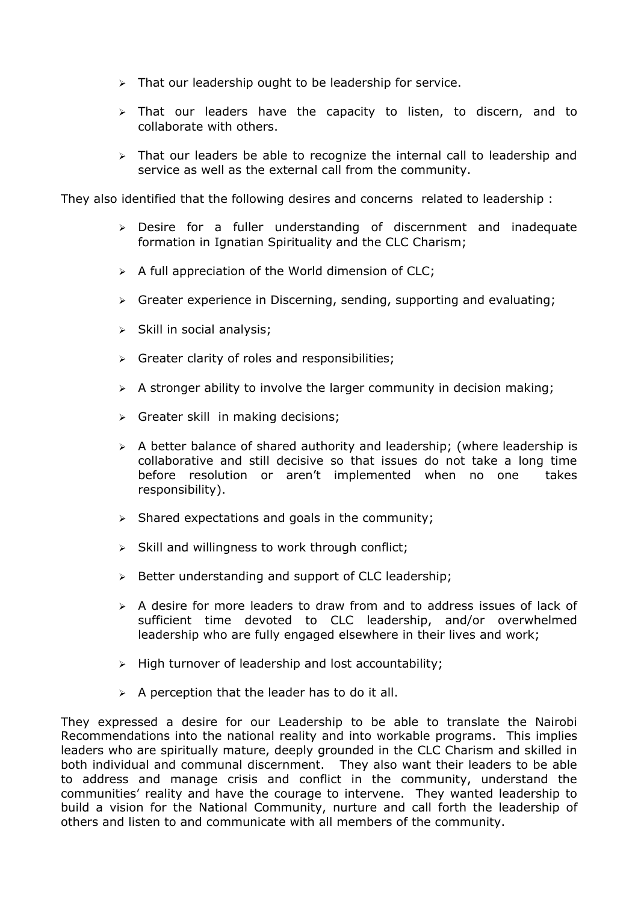- ➢ That our leadership ought to be leadership for service.
- ➢ That our leaders have the capacity to listen, to discern, and to collaborate with others.
- $\triangleright$  That our leaders be able to recognize the internal call to leadership and service as well as the external call from the community.

They also identified that the following desires and concerns related to leadership :

- ➢ Desire for a fuller understanding of discernment and inadequate formation in Ignatian Spirituality and the CLC Charism;
- $\triangleright$  A full appreciation of the World dimension of CLC;
- ➢ Greater experience in Discerning, sending, supporting and evaluating;
- ➢ Skill in social analysis;
- $\triangleright$  Greater clarity of roles and responsibilities;
- $\triangleright$  A stronger ability to involve the larger community in decision making;
- ➢ Greater skill in making decisions;
- ➢ A better balance of shared authority and leadership; (where leadership is collaborative and still decisive so that issues do not take a long time before resolution or aren't implemented when no one takes responsibility).
- $\triangleright$  Shared expectations and goals in the community;
- $\triangleright$  Skill and willingness to work through conflict;
- ➢ Better understanding and support of CLC leadership;
- $\geq$  A desire for more leaders to draw from and to address issues of lack of sufficient time devoted to CLC leadership, and/or overwhelmed leadership who are fully engaged elsewhere in their lives and work;
- ➢ High turnover of leadership and lost accountability;
- $\triangleright$  A perception that the leader has to do it all.

They expressed a desire for our Leadership to be able to translate the Nairobi Recommendations into the national reality and into workable programs. This implies leaders who are spiritually mature, deeply grounded in the CLC Charism and skilled in both individual and communal discernment. They also want their leaders to be able to address and manage crisis and conflict in the community, understand the communities' reality and have the courage to intervene. They wanted leadership to build a vision for the National Community, nurture and call forth the leadership of others and listen to and communicate with all members of the community.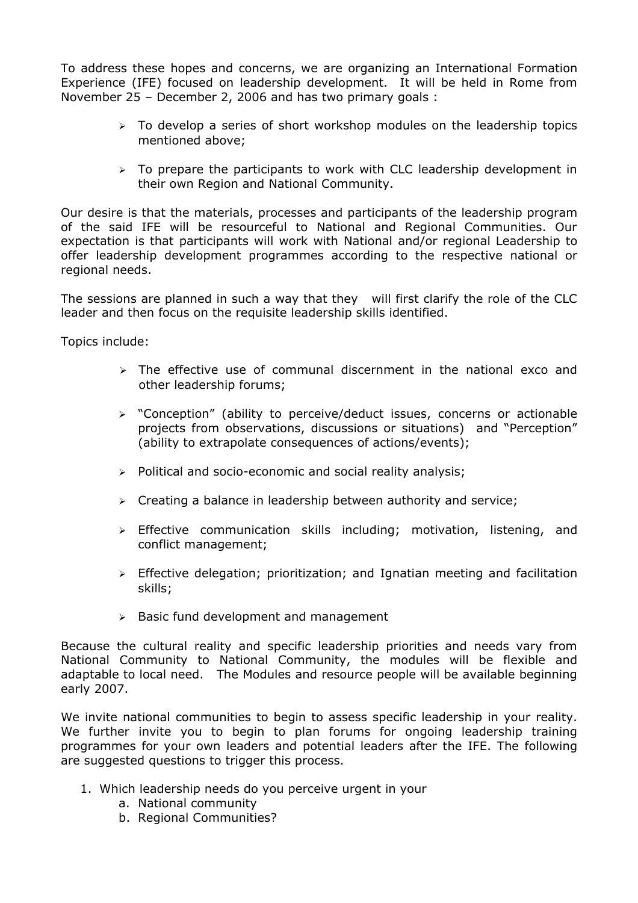To address these hopes and concerns, we are organizing an International Formation Experience (IFE) focused on leadership development. It will be held in Rome from November 25 – December 2, 2006 and has two primary goals :

- $\geq$  To develop a series of short workshop modules on the leadership topics mentioned above;
- ➢ To prepare the participants to work with CLC leadership development in their own Region and National Community.

Our desire is that the materials, processes and participants of the leadership program of the said IFE will be resourceful to National and Regional Communities. Our expectation is that participants will work with National and/or regional Leadership to offer leadership development programmes according to the respective national or regional needs.

The sessions are planned in such a way that they will first clarify the role of the CLC leader and then focus on the requisite leadership skills identified.

Topics include:

- $\geq$  The effective use of communal discernment in the national exco and other leadership forums;
- ➢ "Conception" (ability to perceive/deduct issues, concerns or actionable projects from observations, discussions or situations) and "Perception" (ability to extrapolate consequences of actions/events);
- ➢ Political and socio-economic and social reality analysis;
- $\triangleright$  Creating a balance in leadership between authority and service;
- ➢ Effective communication skills including; motivation, listening, and conflict management;
- $\triangleright$  Effective delegation; prioritization; and Ignatian meeting and facilitation skills;
- ➢ Basic fund development and management

Because the cultural reality and specific leadership priorities and needs vary from National Community to National Community, the modules will be flexible and adaptable to local need. The Modules and resource people will be available beginning early 2007.

We invite national communities to begin to assess specific leadership in your reality. We further invite you to begin to plan forums for ongoing leadership training programmes for your own leaders and potential leaders after the IFE. The following are suggested questions to trigger this process.

- 1. Which leadership needs do you perceive urgent in your
	- a. National community
	- b. Regional Communities?